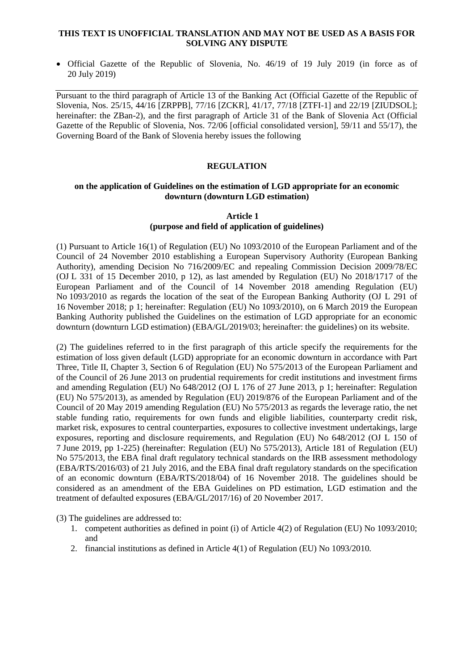#### **THIS TEXT IS UNOFFICIAL TRANSLATION AND MAY NOT BE USED AS A BASIS FOR SOLVING ANY DISPUTE**

 Official Gazette of the Republic of Slovenia, No. 46/19 of 19 July 2019 (in force as of 20 July 2019)

Pursuant to the third paragraph of Article 13 of the Banking Act (Official Gazette of the Republic of Slovenia, Nos. 25/15, 44/16 [ZRPPB], 77/16 [ZCKR], 41/17, 77/18 [ZTFI-1] and 22/19 [ZIUDSOL]; hereinafter: the ZBan-2), and the first paragraph of Article 31 of the Bank of Slovenia Act (Official Gazette of the Republic of Slovenia, Nos. 72/06 [official consolidated version], 59/11 and 55/17), the Governing Board of the Bank of Slovenia hereby issues the following

# **REGULATION**

#### **on the application of Guidelines on the estimation of LGD appropriate for an economic downturn (downturn LGD estimation)**

## **Article 1 (purpose and field of application of guidelines)**

(1) Pursuant to Article 16(1) of Regulation (EU) No 1093/2010 of the European Parliament and of the Council of 24 November 2010 establishing a European Supervisory Authority (European Banking Authority), amending Decision No 716/2009/EC and repealing Commission Decision 2009/78/EC (OJ L 331 of 15 December 2010, p 12), as last amended by Regulation (EU) No 2018/1717 of the European Parliament and of the Council of 14 November 2018 amending Regulation (EU) No 1093/2010 as regards the location of the seat of the European Banking Authority (OJ L 291 of 16 November 2018; p 1; hereinafter: Regulation (EU) No 1093/2010), on 6 March 2019 the European Banking Authority published the Guidelines on the estimation of LGD appropriate for an economic downturn (downturn LGD estimation) (EBA/GL/2019/03; hereinafter: the guidelines) on its website.

(2) The guidelines referred to in the first paragraph of this article specify the requirements for the estimation of loss given default (LGD) appropriate for an economic downturn in accordance with Part Three, Title II, Chapter 3, Section 6 of Regulation (EU) No 575/2013 of the European Parliament and of the Council of 26 June 2013 on prudential requirements for credit institutions and investment firms and amending Regulation (EU) No 648/2012 (OJ L 176 of 27 June 2013, p 1; hereinafter: Regulation (EU) No 575/2013), as amended by Regulation (EU) 2019/876 of the European Parliament and of the Council of 20 May 2019 amending Regulation (EU) No 575/2013 as regards the leverage ratio, the net stable funding ratio, requirements for own funds and eligible liabilities, counterparty credit risk, market risk, exposures to central counterparties, exposures to collective investment undertakings, large exposures, reporting and disclosure requirements, and Regulation (EU) No 648/2012 (OJ L 150 of 7 June 2019, pp 1-225) (hereinafter: Regulation (EU) No 575/2013), Article 181 of Regulation (EU) No 575/2013, the EBA final draft regulatory technical standards on the IRB assessment methodology (EBA/RTS/2016/03) of 21 July 2016, and the EBA final draft regulatory standards on the specification of an economic downturn (EBA/RTS/2018/04) of 16 November 2018. The guidelines should be considered as an amendment of the EBA Guidelines on PD estimation, LGD estimation and the treatment of defaulted exposures (EBA/GL/2017/16) of 20 November 2017.

(3) The guidelines are addressed to:

- 1. competent authorities as defined in point (i) of Article 4(2) of Regulation (EU) No 1093/2010; and
- 2. financial institutions as defined in Article 4(1) of Regulation (EU) No 1093/2010.